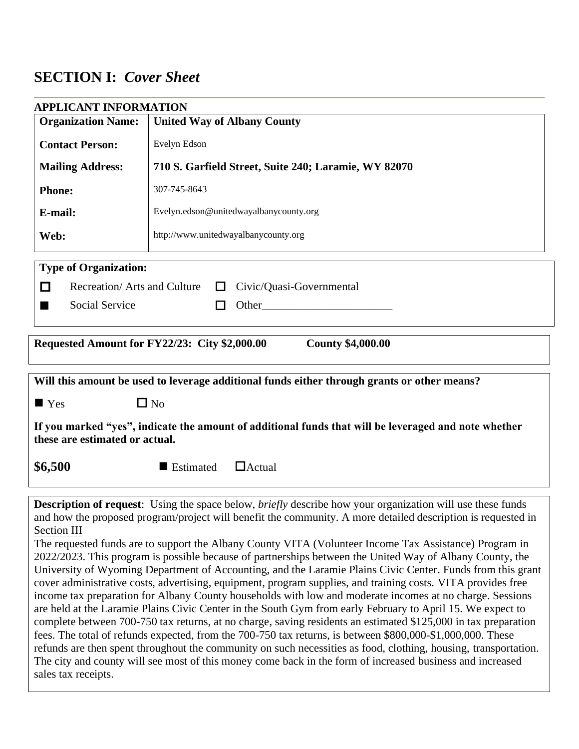# **SECTION I:** *Cover Sheet*

| <b>Organization Name:</b>                                                                                                              | <b>APPLICANT INFORMATION</b>                                                                |  |
|----------------------------------------------------------------------------------------------------------------------------------------|---------------------------------------------------------------------------------------------|--|
|                                                                                                                                        | <b>United Way of Albany County</b>                                                          |  |
| <b>Contact Person:</b>                                                                                                                 | Evelyn Edson                                                                                |  |
| <b>Mailing Address:</b>                                                                                                                | 710 S. Garfield Street, Suite 240; Laramie, WY 82070                                        |  |
| <b>Phone:</b>                                                                                                                          | 307-745-8643                                                                                |  |
| E-mail:                                                                                                                                | Evelyn.edson@unitedwayalbanycounty.org                                                      |  |
| Web:                                                                                                                                   | http://www.unitedwayalbanycounty.org                                                        |  |
| <b>Type of Organization:</b>                                                                                                           |                                                                                             |  |
| Recreation/Arts and Culture<br>□                                                                                                       | Civic/Quasi-Governmental<br>$\perp$                                                         |  |
| Social Service<br>■                                                                                                                    | Other_<br>П                                                                                 |  |
|                                                                                                                                        |                                                                                             |  |
|                                                                                                                                        | Requested Amount for FY22/23: City \$2,000.00<br><b>County \$4,000.00</b>                   |  |
|                                                                                                                                        |                                                                                             |  |
|                                                                                                                                        | Will this amount be used to leverage additional funds either through grants or other means? |  |
| $\blacksquare$ Yes                                                                                                                     | $\Box$ No                                                                                   |  |
| If you marked "yes", indicate the amount of additional funds that will be leveraged and note whether<br>these are estimated or actual. |                                                                                             |  |
|                                                                                                                                        |                                                                                             |  |
| \$6,500                                                                                                                                | $\Box$ Actual<br>■ Estimated                                                                |  |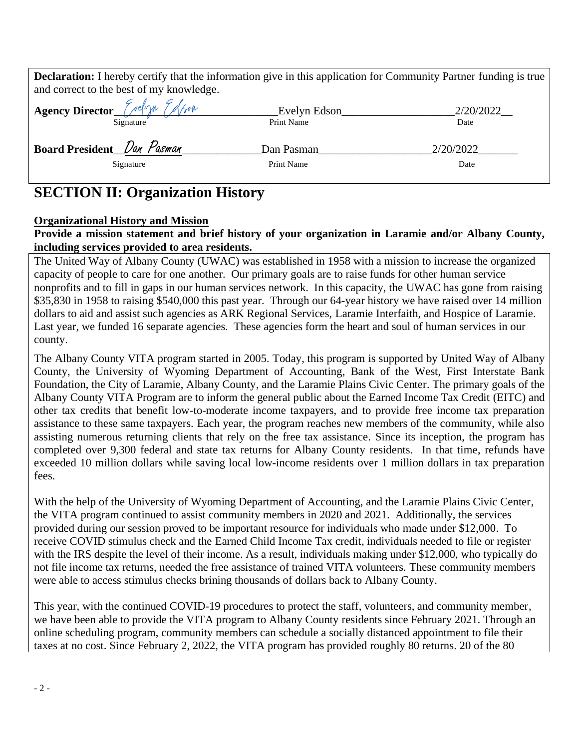| <b>Declaration:</b> I hereby certify that the information give in this application for Community Partner funding is true<br>and correct to the best of my knowledge. |              |           |
|----------------------------------------------------------------------------------------------------------------------------------------------------------------------|--------------|-----------|
| Agency Director <i>Crelyn Edfron</i>                                                                                                                                 |              |           |
|                                                                                                                                                                      | Evelyn Edson | 2/20/2022 |
| Signature                                                                                                                                                            | Print Name   | Date      |
| Board President Dan Pasman                                                                                                                                           | Dan Pasman   | 2/20/2022 |
| Signature                                                                                                                                                            | Print Name   | Date      |
|                                                                                                                                                                      |              |           |

# **SECTION II: Organization History**

### **Organizational History and Mission**

# **Provide a mission statement and brief history of your organization in Laramie and/or Albany County, including services provided to area residents.**

The United Way of Albany County (UWAC) was established in 1958 with a mission to increase the organized capacity of people to care for one another. Our primary goals are to raise funds for other human service nonprofits and to fill in gaps in our human services network. In this capacity, the UWAC has gone from raising \$35,830 in 1958 to raising \$540,000 this past year. Through our 64-year history we have raised over 14 million dollars to aid and assist such agencies as ARK Regional Services, Laramie Interfaith, and Hospice of Laramie. Last year, we funded 16 separate agencies. These agencies form the heart and soul of human services in our county.

The Albany County VITA program started in 2005. Today, this program is supported by United Way of Albany County, the University of Wyoming Department of Accounting, Bank of the West, First Interstate Bank Foundation, the City of Laramie, Albany County, and the Laramie Plains Civic Center. The primary goals of the Albany County VITA Program are to inform the general public about the Earned Income Tax Credit (EITC) and other tax credits that benefit low-to-moderate income taxpayers, and to provide free income tax preparation assistance to these same taxpayers. Each year, the program reaches new members of the community, while also assisting numerous returning clients that rely on the free tax assistance. Since its inception, the program has completed over 9,300 federal and state tax returns for Albany County residents. In that time, refunds have exceeded 10 million dollars while saving local low-income residents over 1 million dollars in tax preparation fees.

With the help of the University of Wyoming Department of Accounting, and the Laramie Plains Civic Center, the VITA program continued to assist community members in 2020 and 2021. Additionally, the services provided during our session proved to be important resource for individuals who made under \$12,000. To receive COVID stimulus check and the Earned Child Income Tax credit, individuals needed to file or register with the IRS despite the level of their income. As a result, individuals making under \$12,000, who typically do not file income tax returns, needed the free assistance of trained VITA volunteers. These community members were able to access stimulus checks brining thousands of dollars back to Albany County.

This year, with the continued COVID-19 procedures to protect the staff, volunteers, and community member, we have been able to provide the VITA program to Albany County residents since February 2021. Through an online scheduling program, community members can schedule a socially distanced appointment to file their taxes at no cost. Since February 2, 2022, the VITA program has provided roughly 80 returns. 20 of the 80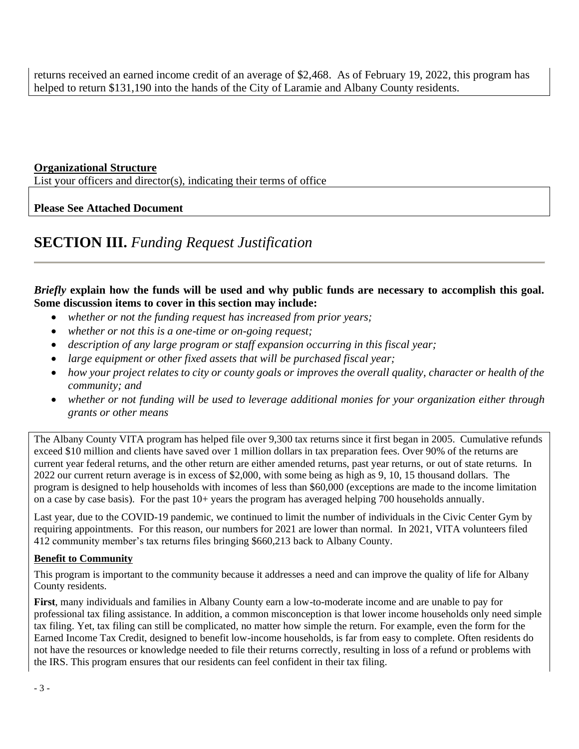returns received an earned income credit of an average of \$2,468. As of February 19, 2022, this program has helped to return \$131,190 into the hands of the City of Laramie and Albany County residents.

### **Organizational Structure**

List your officers and director(s), indicating their terms of office

## **Please See Attached Document**

# **SECTION III.** *Funding Request Justification*

# *Briefly* **explain how the funds will be used and why public funds are necessary to accomplish this goal. Some discussion items to cover in this section may include:**

- *whether or not the funding request has increased from prior years;*
- *whether or not this is a one-time or on-going request;*
- *description of any large program or staff expansion occurring in this fiscal year;*
- *large equipment or other fixed assets that will be purchased fiscal year;*
- *how your project relates to city or county goals or improves the overall quality, character or health of the community; and*
- *whether or not funding will be used to leverage additional monies for your organization either through grants or other means*

The Albany County VITA program has helped file over 9,300 tax returns since it first began in 2005. Cumulative refunds exceed \$10 million and clients have saved over 1 million dollars in tax preparation fees. Over 90% of the returns are current year federal returns, and the other return are either amended returns, past year returns, or out of state returns. In 2022 our current return average is in excess of \$2,000, with some being as high as 9, 10, 15 thousand dollars. The program is designed to help households with incomes of less than \$60,000 (exceptions are made to the income limitation on a case by case basis). For the past 10+ years the program has averaged helping 700 households annually.

Last year, due to the COVID-19 pandemic, we continued to limit the number of individuals in the Civic Center Gym by requiring appointments. For this reason, our numbers for 2021 are lower than normal. In 2021, VITA volunteers filed 412 community member's tax returns files bringing \$660,213 back to Albany County.

### **Benefit to Community**

This program is important to the community because it addresses a need and can improve the quality of life for Albany County residents.

**First**, many individuals and families in Albany County earn a low-to-moderate income and are unable to pay for professional tax filing assistance. In addition, a common misconception is that lower income households only need simple tax filing. Yet, tax filing can still be complicated, no matter how simple the return. For example, even the form for the Earned Income Tax Credit, designed to benefit low-income households, is far from easy to complete. Often residents do not have the resources or knowledge needed to file their returns correctly, resulting in loss of a refund or problems with the IRS. This program ensures that our residents can feel confident in their tax filing.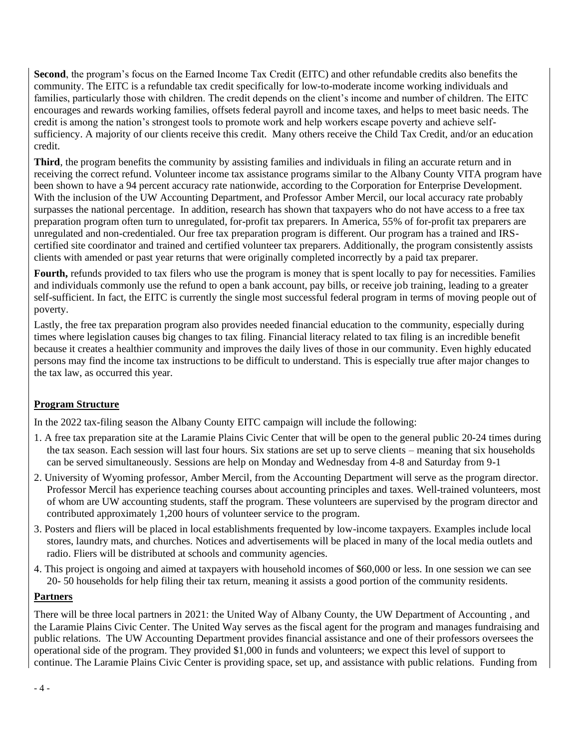**Second**, the program's focus on the Earned Income Tax Credit (EITC) and other refundable credits also benefits the community. The EITC is a refundable tax credit specifically for low-to-moderate income working individuals and families, particularly those with children. The credit depends on the client's income and number of children. The EITC encourages and rewards working families, offsets federal payroll and income taxes, and helps to meet basic needs. The credit is among the nation's strongest tools to promote work and help workers escape poverty and achieve selfsufficiency. A majority of our clients receive this credit. Many others receive the Child Tax Credit, and/or an education credit.

**Third**, the program benefits the community by assisting families and individuals in filing an accurate return and in receiving the correct refund. Volunteer income tax assistance programs similar to the Albany County VITA program have been shown to have a 94 percent accuracy rate nationwide, according to the Corporation for Enterprise Development. With the inclusion of the UW Accounting Department, and Professor Amber Mercil, our local accuracy rate probably surpasses the national percentage. In addition, research has shown that taxpayers who do not have access to a free tax preparation program often turn to unregulated, for-profit tax preparers. In America, 55% of for-profit tax preparers are unregulated and non-credentialed. Our free tax preparation program is different. Our program has a trained and IRScertified site coordinator and trained and certified volunteer tax preparers. Additionally, the program consistently assists clients with amended or past year returns that were originally completed incorrectly by a paid tax preparer.

**Fourth,** refunds provided to tax filers who use the program is money that is spent locally to pay for necessities. Families and individuals commonly use the refund to open a bank account, pay bills, or receive job training, leading to a greater self-sufficient. In fact, the EITC is currently the single most successful federal program in terms of moving people out of poverty.

Lastly, the free tax preparation program also provides needed financial education to the community, especially during times where legislation causes big changes to tax filing. Financial literacy related to tax filing is an incredible benefit because it creates a healthier community and improves the daily lives of those in our community. Even highly educated persons may find the income tax instructions to be difficult to understand. This is especially true after major changes to the tax law, as occurred this year.

### **Program Structure**

In the 2022 tax-filing season the Albany County EITC campaign will include the following:

- 1. A free tax preparation site at the Laramie Plains Civic Center that will be open to the general public 20-24 times during the tax season. Each session will last four hours. Six stations are set up to serve clients – meaning that six households can be served simultaneously. Sessions are help on Monday and Wednesday from 4-8 and Saturday from 9-1
- 2. University of Wyoming professor, Amber Mercil, from the Accounting Department will serve as the program director. Professor Mercil has experience teaching courses about accounting principles and taxes. Well-trained volunteers, most of whom are UW accounting students, staff the program. These volunteers are supervised by the program director and contributed approximately 1,200 hours of volunteer service to the program.
- 3. Posters and fliers will be placed in local establishments frequented by low-income taxpayers. Examples include local stores, laundry mats, and churches. Notices and advertisements will be placed in many of the local media outlets and radio. Fliers will be distributed at schools and community agencies.
- 4. This project is ongoing and aimed at taxpayers with household incomes of \$60,000 or less. In one session we can see 20- 50 households for help filing their tax return, meaning it assists a good portion of the community residents.

### **Partners**

There will be three local partners in 2021: the United Way of Albany County, the UW Department of Accounting , and the Laramie Plains Civic Center. The United Way serves as the fiscal agent for the program and manages fundraising and public relations. The UW Accounting Department provides financial assistance and one of their professors oversees the operational side of the program. They provided \$1,000 in funds and volunteers; we expect this level of support to continue. The Laramie Plains Civic Center is providing space, set up, and assistance with public relations. Funding from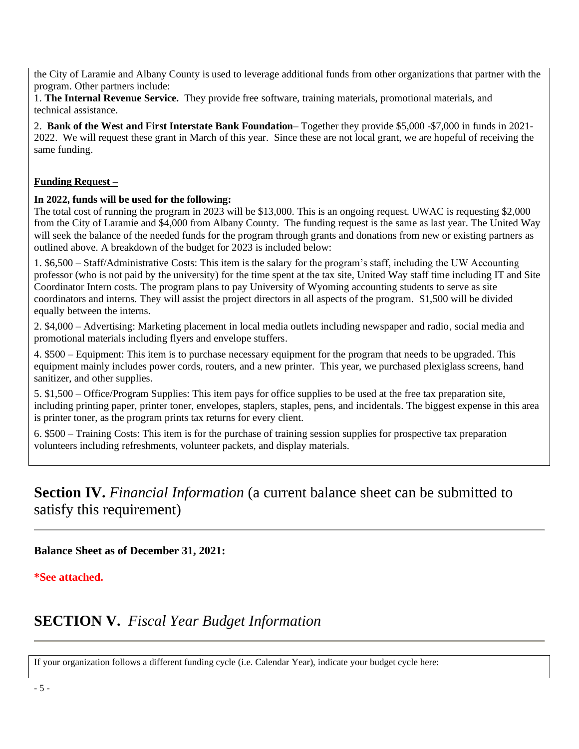the City of Laramie and Albany County is used to leverage additional funds from other organizations that partner with the program. Other partners include:

1. **The Internal Revenue Service.** They provide free software, training materials, promotional materials, and technical assistance.

2. **Bank of the West and First Interstate Bank Foundation–** Together they provide \$5,000 -\$7,000 in funds in 2021- 2022. We will request these grant in March of this year. Since these are not local grant, we are hopeful of receiving the same funding.

# **Funding Request –**

### **In 2022, funds will be used for the following:**

The total cost of running the program in 2023 will be \$13,000. This is an ongoing request. UWAC is requesting \$2,000 from the City of Laramie and \$4,000 from Albany County. The funding request is the same as last year. The United Way will seek the balance of the needed funds for the program through grants and donations from new or existing partners as outlined above. A breakdown of the budget for 2023 is included below:

1. \$6,500 – Staff/Administrative Costs: This item is the salary for the program's staff, including the UW Accounting professor (who is not paid by the university) for the time spent at the tax site, United Way staff time including IT and Site Coordinator Intern costs. The program plans to pay University of Wyoming accounting students to serve as site coordinators and interns. They will assist the project directors in all aspects of the program. \$1,500 will be divided equally between the interns.

2. \$4,000 – Advertising: Marketing placement in local media outlets including newspaper and radio, social media and promotional materials including flyers and envelope stuffers.

4. \$500 – Equipment: This item is to purchase necessary equipment for the program that needs to be upgraded. This equipment mainly includes power cords, routers, and a new printer. This year, we purchased plexiglass screens, hand sanitizer, and other supplies.

5. \$1,500 – Office/Program Supplies: This item pays for office supplies to be used at the free tax preparation site, including printing paper, printer toner, envelopes, staplers, staples, pens, and incidentals. The biggest expense in this area is printer toner, as the program prints tax returns for every client.

6. \$500 – Training Costs: This item is for the purchase of training session supplies for prospective tax preparation volunteers including refreshments, volunteer packets, and display materials.

# **Section IV.** *Financial Information* (a current balance sheet can be submitted to satisfy this requirement)

### **Balance Sheet as of December 31, 2021:**

### **\*See attached.**

# **SECTION V.** *Fiscal Year Budget Information*

If your organization follows a different funding cycle (i.e. Calendar Year), indicate your budget cycle here: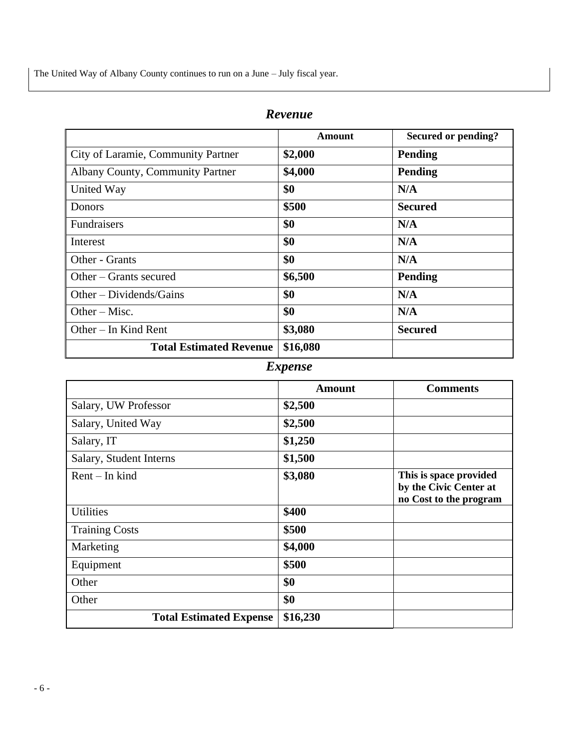The United Way of Albany County continues to run on a June – July fiscal year.

|                                    | <b>Amount</b> | Secured or pending? |
|------------------------------------|---------------|---------------------|
| City of Laramie, Community Partner | \$2,000       | <b>Pending</b>      |
| Albany County, Community Partner   | \$4,000       | <b>Pending</b>      |
| United Way                         | \$0           | N/A                 |
| Donors                             | \$500         | <b>Secured</b>      |
| <b>Fundraisers</b>                 | \$0           | N/A                 |
| Interest                           | \$0           | N/A                 |
| Other - Grants                     | \$0           | N/A                 |
| Other – Grants secured             | \$6,500       | <b>Pending</b>      |
| $Other-Dividends/Gains$            | \$0           | N/A                 |
| Other $-$ Misc.                    | \$0           | N/A                 |
| Other $-$ In Kind Rent             | \$3,080       | <b>Secured</b>      |
| <b>Total Estimated Revenue</b>     | \$16,080      |                     |

# *Expense*

|                                | Amount   | <b>Comments</b>                                                            |
|--------------------------------|----------|----------------------------------------------------------------------------|
| Salary, UW Professor           | \$2,500  |                                                                            |
| Salary, United Way             | \$2,500  |                                                                            |
| Salary, IT                     | \$1,250  |                                                                            |
| Salary, Student Interns        | \$1,500  |                                                                            |
| $Rent$ – In kind               | \$3,080  | This is space provided<br>by the Civic Center at<br>no Cost to the program |
| <b>Utilities</b>               | \$400    |                                                                            |
| <b>Training Costs</b>          | \$500    |                                                                            |
| Marketing                      | \$4,000  |                                                                            |
| Equipment                      | \$500    |                                                                            |
| Other                          | \$0      |                                                                            |
| Other                          | \$0      |                                                                            |
| <b>Total Estimated Expense</b> | \$16,230 |                                                                            |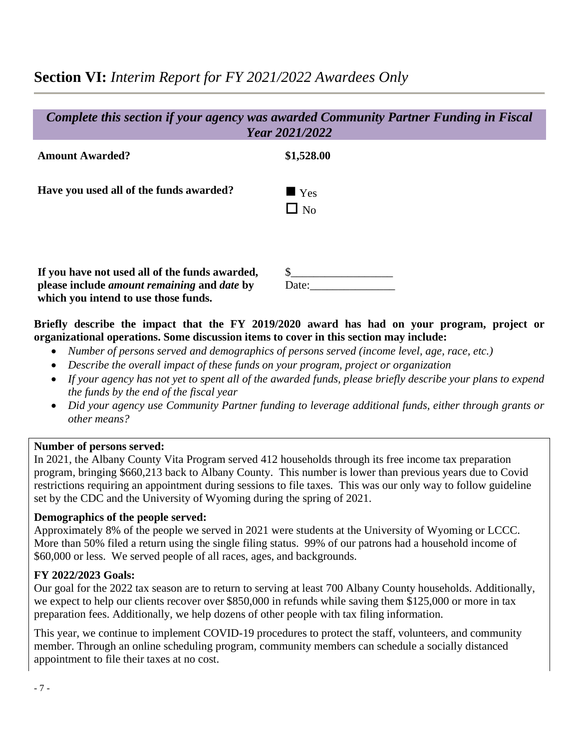# **Section VI:** *Interim Report for FY 2021/2022 Awardees Only*

| Complete this section if your agency was awarded Community Partner Funding in Fiscal<br>Year 2021/2022                                              |                                 |  |
|-----------------------------------------------------------------------------------------------------------------------------------------------------|---------------------------------|--|
| <b>Amount Awarded?</b>                                                                                                                              | \$1,528.00                      |  |
| Have you used all of the funds awarded?                                                                                                             | $\blacksquare$ Yes<br>$\Box$ No |  |
| If you have not used all of the funds awarded,<br>please include <i>amount remaining</i> and <i>date</i> by<br>which you intend to use those funds. | Date:                           |  |

# **Briefly describe the impact that the FY 2019/2020 award has had on your program, project or organizational operations. Some discussion items to cover in this section may include:**

- *Number of persons served and demographics of persons served (income level, age, race, etc.)*
- *Describe the overall impact of these funds on your program, project or organization*
- *If your agency has not yet to spent all of the awarded funds, please briefly describe your plans to expend the funds by the end of the fiscal year*
- *Did your agency use Community Partner funding to leverage additional funds, either through grants or other means?*

### **Number of persons served:**

In 2021, the Albany County Vita Program served 412 households through its free income tax preparation program, bringing \$660,213 back to Albany County. This number is lower than previous years due to Covid restrictions requiring an appointment during sessions to file taxes. This was our only way to follow guideline set by the CDC and the University of Wyoming during the spring of 2021.

# **Demographics of the people served:**

Approximately 8% of the people we served in 2021 were students at the University of Wyoming or LCCC. More than 50% filed a return using the single filing status. 99% of our patrons had a household income of \$60,000 or less. We served people of all races, ages, and backgrounds.

# **FY 2022/2023 Goals:**

Our goal for the 2022 tax season are to return to serving at least 700 Albany County households. Additionally, we expect to help our clients recover over \$850,000 in refunds while saving them \$125,000 or more in tax preparation fees. Additionally, we help dozens of other people with tax filing information.

This year, we continue to implement COVID-19 procedures to protect the staff, volunteers, and community member. Through an online scheduling program, community members can schedule a socially distanced appointment to file their taxes at no cost.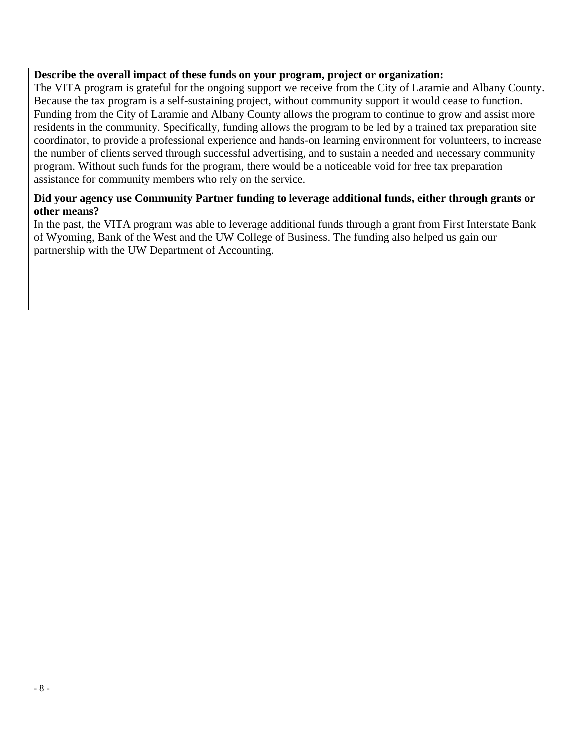### **Describe the overall impact of these funds on your program, project or organization:**

The VITA program is grateful for the ongoing support we receive from the City of Laramie and Albany County. Because the tax program is a self-sustaining project, without community support it would cease to function. Funding from the City of Laramie and Albany County allows the program to continue to grow and assist more residents in the community. Specifically, funding allows the program to be led by a trained tax preparation site coordinator, to provide a professional experience and hands-on learning environment for volunteers, to increase the number of clients served through successful advertising, and to sustain a needed and necessary community program. Without such funds for the program, there would be a noticeable void for free tax preparation assistance for community members who rely on the service.

# **Did your agency use Community Partner funding to leverage additional funds, either through grants or other means?**

In the past, the VITA program was able to leverage additional funds through a grant from First Interstate Bank of Wyoming, Bank of the West and the UW College of Business. The funding also helped us gain our partnership with the UW Department of Accounting.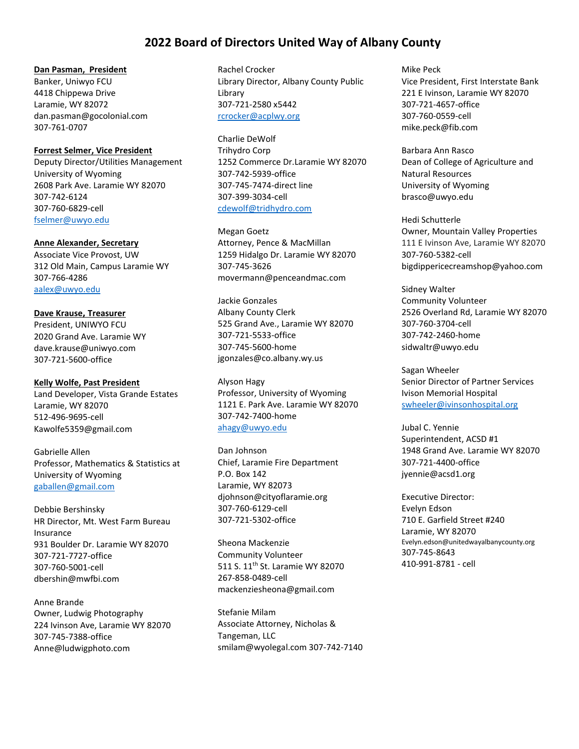# **2022 Board of Directors United Way of Albany County**

#### **Dan Pasman, President**

Banker, Uniwyo FCU 4418 Chippewa Drive Laramie, WY 82072 dan.pasman@gocolonial.com 307-761-0707

#### **Forrest Selmer, Vice President**

Deputy Director/Utilities Management University of Wyoming 2608 Park Ave. Laramie WY 82070 307-742-6124 307-760-6829-cell [fselmer@uwyo.edu](mailto:fselmer@uwyo.edu)

#### **Anne Alexander, Secretary**

Associate Vice Provost, UW 312 Old Main, Campus Laramie WY 307-766-4286 [aalex@uwyo.edu](mailto:aalex@uwyo.edu)

#### **Dave Krause, Treasurer**

President, UNIWYO FCU 2020 Grand Ave. Laramie WY dave.krause@uniwyo.com 307-721-5600-office

#### **Kelly Wolfe, Past President**

Land Developer, Vista Grande Estates Laramie, WY 82070 512-496-9695-cell Kawolfe5359@gmail.com

Gabrielle Allen Professor, Mathematics & Statistics at University of Wyoming [gaballen@gmail.com](mailto:gaballen@gmail.com)

Debbie Bershinsky HR Director, Mt. West Farm Bureau Insurance 931 Boulder Dr. Laramie WY 82070 307-721-7727-office 307-760-5001-cell dbershin@mwfbi.com

Anne Brande Owner, Ludwig Photography 224 Ivinson Ave, Laramie WY 82070 307-745-7388-office [Anne@ludwigphoto.com](mailto:Anne@ludwigphoto.com)

Rachel Crocker Library Director, Albany County Public Library 307-721-2580 x5442 [rcrocker@acplwy.org](mailto:rcrocker@acplwy.org)

Charlie DeWolf Trihydro Corp 1252 Commerce Dr.Laramie WY 82070 307-742-5939-office 307-745-7474-direct line 307-399-3034-cell [cdewolf@tridhydro.com](mailto:cdewolf@tridhydro.com)

Megan Goetz Attorney, Pence & MacMillan 1259 Hidalgo Dr. Laramie WY 82070 307-745-3626 movermann@penceandmac.com

Jackie Gonzales Albany County Clerk 525 Grand Ave., Laramie WY 82070 307-721-5533-office 307-745-5600-home [jgonzales@co.albany.wy.us](mailto:jgonzales@co.albany.wy.us)

Alyson Hagy Professor, University of Wyoming 1121 E. Park Ave. Laramie WY 82070 307-742-7400-home [ahagy@uwyo.edu](mailto:ahagy@uwyo.edu)

Dan Johnson Chief, Laramie Fire Department P.O. Box 142 Laramie, WY 82073 djohnson@cityoflaramie.org 307-760-6129-cell 307-721-5302-office

Sheona Mackenzie Community Volunteer 511 S. 11th St. Laramie WY 82070 267-858-0489-cell mackenziesheona@gmail.com

Stefanie Milam Associate Attorney, Nicholas & Tangeman, LLC smilam@wyolegal.com 307-742-7140 Mike Peck Vice President, First Interstate Bank 221 E Ivinson, Laramie WY 82070 307-721-4657-office 307-760-0559-cell [mike.peck@fib.com](mailto:mike.peck@fib.com)

Barbara Ann Rasco Dean of College of Agriculture and Natural Resources University of Wyoming brasco@uwyo.edu

Hedi Schutterle Owner, Mountain Valley Properties 111 E Ivinson Ave, Laramie WY 82070 307-760-5382-cell [bigdippericecreamshop@yahoo.com](file:///C:/Users/Erin%20Fortenberry/AppData/Local/Microsoft/Windows/Temporary%20Internet%20Files/Content.Outlook/0X1COD8S/bigdippericecreamshop@yahoo.com)

Sidney Walter Community Volunteer 2526 Overland Rd, Laramie WY 82070 307-760-3704-cell 307-742-2460-home [sidwaltr@uwyo.edu](mailto:sidwaltr@uwyo.edu)

Sagan Wheeler Senior Director of Partner Services Ivison Memorial Hospital [swheeler@ivinsonhospital.org](mailto:swheeler@ivinsonhospital.org)

Jubal C. Yennie Superintendent, ACSD #1 1948 Grand Ave. Laramie WY 82070 307-721-4400-office [jyennie@acsd1.org](mailto:jyennie@acsd1.org)

Executive Director: Evelyn Edson 710 E. Garfield Street #240 Laramie, WY 82070 Evelyn.edson@unitedwayalbanycounty.org 307-745-8643 410-991-8781 - cell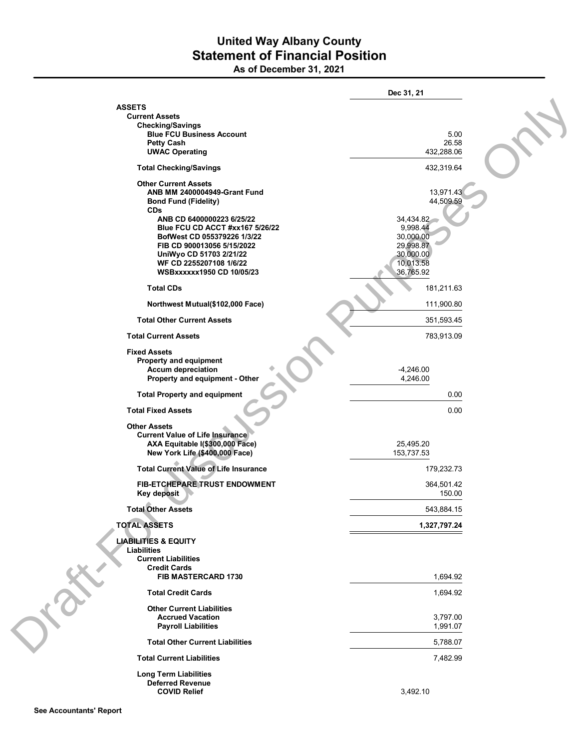# **United Way Albany County Statement of Financial Position As of December 31, 2021**

|                                                                       | Dec 31, 21               |
|-----------------------------------------------------------------------|--------------------------|
| <b>ASSETS</b>                                                         |                          |
| <b>Current Assets</b><br><b>Checking/Savings</b>                      |                          |
| <b>Blue FCU Business Account</b>                                      | 5.00                     |
| <b>Petty Cash</b>                                                     | 26.58                    |
| <b>UWAC Operating</b>                                                 | 432,288.06               |
| <b>Total Checking/Savings</b>                                         | 432,319.64               |
| <b>Other Current Assets</b>                                           |                          |
| <b>ANB MM 2400004949-Grant Fund</b><br><b>Bond Fund (Fidelity)</b>    | 13,971.43<br>44,509.59   |
| <b>CDs</b>                                                            |                          |
| ANB CD 6400000223 6/25/22                                             | 34,434.82                |
| <b>Blue FCU CD ACCT #xx167 5/26/22</b><br>BofWest CD 055379226 1/3/22 | 9,998.44<br>30,000.00    |
| FIB CD 900013056 5/15/2022                                            | 29,998.87                |
| UniWyo CD 51703 2/21/22                                               | 30,000.00                |
| WF CD 2255207108 1/6/22                                               | 10,013.58                |
| <b>WSBxxxxxx1950 CD 10/05/23</b>                                      | 36,765.92                |
| <b>Total CDs</b>                                                      | 181,211.63<br>111,900.80 |
| Northwest Mutual(\$102,000 Face)<br><b>Total Other Current Assets</b> | 351,593.45               |
|                                                                       |                          |
| <b>Total Current Assets</b>                                           | 783,913.09               |
| <b>Fixed Assets</b><br><b>Property and equipment</b>                  |                          |
| <b>Accum depreciation</b>                                             | $-4,246.00$              |
| Property and equipment - Other                                        | 4,246.00                 |
| <b>Total Property and equipment</b>                                   | 0.00                     |
| <b>Total Fixed Assets</b>                                             | 0.00                     |
| <b>Other Assets</b>                                                   |                          |
| <b>Current Value of Life Insurance</b>                                |                          |
| AXA Equitable I(\$300,000 Face)<br>New York Life (\$400,000 Face)     | 25,495.20<br>153,737.53  |
| <b>Total Current Value of Life Insurance</b>                          |                          |
| FIB-ETCHEPARE TRUST ENDOWMENT                                         | 179,232.73<br>364,501.42 |
| Key deposit                                                           | 150.00                   |
| <b>Total Other Assets</b>                                             | 543,884.15               |
| <b>TOTAL ASSETS</b>                                                   | 1,327,797.24             |
| <b>LIABILITIES &amp; EQUITY</b><br>Liabilities                        |                          |
| <b>Current Liabilities</b>                                            |                          |
| <b>Credit Cards</b>                                                   |                          |
| FIB MASTERCARD 1730                                                   | 1,694.92                 |
| <b>Total Credit Cards</b>                                             | 1,694.92                 |
| <b>Other Current Liabilities</b>                                      |                          |
| <b>Accrued Vacation</b>                                               | 3,797.00                 |
| <b>Payroll Liabilities</b>                                            | 1,991.07                 |
| <b>Total Other Current Liabilities</b>                                | 5,788.07                 |
| <b>Total Current Liabilities</b>                                      | 7,482.99                 |
| <b>Long Term Liabilities</b>                                          |                          |
| <b>Deferred Revenue</b><br><b>COVID Relief</b>                        | 3,492.10                 |
|                                                                       |                          |